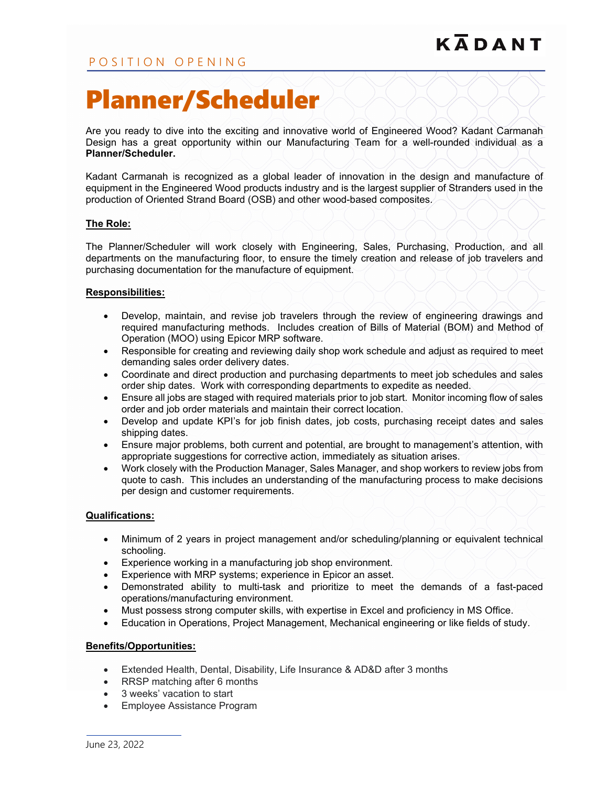## POSITION OPENING

# Planner/Scheduler

Are you ready to dive into the exciting and innovative world of Engineered Wood? Kadant Carmanah Design has a great opportunity within our Manufacturing Team for a well-rounded individual as a **Planner/Scheduler.**

Kadant Carmanah is recognized as a global leader of innovation in the design and manufacture of equipment in the Engineered Wood products industry and is the largest supplier of Stranders used in the production of Oriented Strand Board (OSB) and other wood-based composites.

## **The Role:**

The Planner/Scheduler will work closely with Engineering, Sales, Purchasing, Production, and all departments on the manufacturing floor, to ensure the timely creation and release of job travelers and purchasing documentation for the manufacture of equipment.

### **Responsibilities:**

- Develop, maintain, and revise job travelers through the review of engineering drawings and required manufacturing methods. Includes creation of Bills of Material (BOM) and Method of Operation (MOO) using Epicor MRP software.
- Responsible for creating and reviewing daily shop work schedule and adjust as required to meet demanding sales order delivery dates.
- Coordinate and direct production and purchasing departments to meet job schedules and sales order ship dates. Work with corresponding departments to expedite as needed.
- Ensure all jobs are staged with required materials prior to job start. Monitor incoming flow of sales order and job order materials and maintain their correct location.
- Develop and update KPI's for job finish dates, job costs, purchasing receipt dates and sales shipping dates.
- Ensure major problems, both current and potential, are brought to management's attention, with appropriate suggestions for corrective action, immediately as situation arises.
- Work closely with the Production Manager, Sales Manager, and shop workers to review jobs from quote to cash. This includes an understanding of the manufacturing process to make decisions per design and customer requirements.

#### **Qualifications:**

- Minimum of 2 years in project management and/or scheduling/planning or equivalent technical schooling.
- Experience working in a manufacturing job shop environment.
- Experience with MRP systems; experience in Epicor an asset.
- Demonstrated ability to multi-task and prioritize to meet the demands of a fast-paced operations/manufacturing environment.
- Must possess strong computer skills, with expertise in Excel and proficiency in MS Office.
- Education in Operations, Project Management, Mechanical engineering or like fields of study.

#### **Benefits/Opportunities:**

- Extended Health, Dental, Disability, Life Insurance & AD&D after 3 months
- RRSP matching after 6 months
- 3 weeks' vacation to start
- Employee Assistance Program